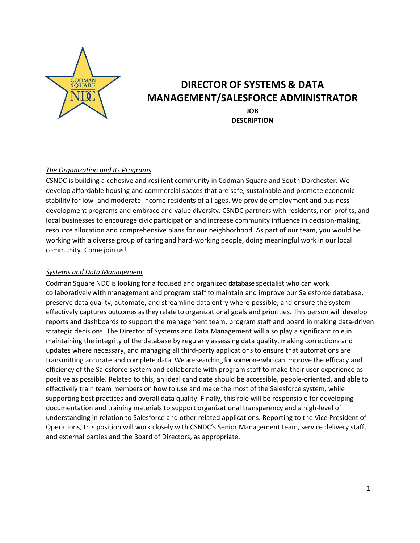

# **DIRECTOR OF SYSTEMS & DATA MANAGEMENT/SALESFORCE ADMINISTRATOR**

**JOB DESCRIPTION**

#### *The Organization and Its Programs*

CSNDC is building a cohesive and resilient community in Codman Square and South Dorchester. We develop affordable housing and commercial spaces that are safe, sustainable and promote economic stability for low- and moderate-income residents of all ages. We provide employment and business development programs and embrace and value diversity. CSNDC partners with residents, non-profits, and local businesses to encourage civic participation and increase community influence in decision-making, resource allocation and comprehensive plans for our neighborhood. As part of our team, you would be working with a diverse group of caring and hard-working people, doing meaningful work in our local community. Come join us!

#### *Systems and Data Management*

Codman Square NDC is looking for a focused and organized database specialist who can work collaboratively with management and program staff to maintain and improve our Salesforce database, preserve data quality, automate, and streamline data entry where possible, and ensure the system effectively captures outcomes as they relate to organizational goals and priorities. This person will develop reports and dashboards to support the management team, program staff and board in making data-driven strategic decisions. The Director of Systems and Data Management will also play a significant role in maintaining the integrity of the database by regularly assessing data quality, making corrections and updates where necessary, and managing all third-party applications to ensure that automations are transmitting accurate and complete data. We are searching for someone who can improve the efficacy and efficiency of the Salesforce system and collaborate with program staff to make their user experience as positive as possible. Related to this, an ideal candidate should be accessible, people-oriented, and able to effectively train team members on how to use and make the most of the Salesforce system, while supporting best practices and overall data quality. Finally, this role will be responsible for developing documentation and training materials to support organizational transparency and a high-level of understanding in relation to Salesforce and other related applications. Reporting to the Vice President of Operations, this position will work closely with CSNDC's Senior Management team, service delivery staff, and external parties and the Board of Directors, as appropriate.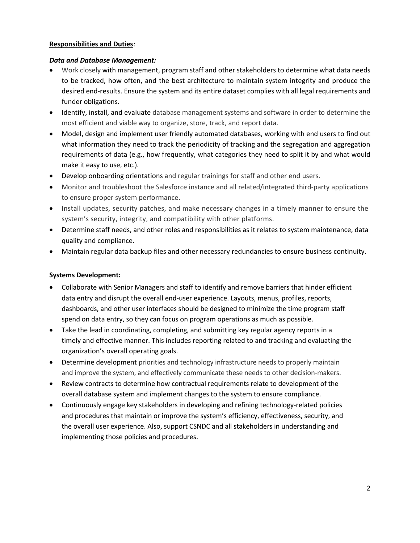### **Responsibilities and Duties**:

## *Data and Database Management:*

- Work closely with management, program staff and other stakeholders to determine what data needs to be tracked, how often, and the best architecture to maintain system integrity and produce the desired end-results. Ensure the system and its entire dataset complies with all legal requirements and funder obligations.
- Identify, install, and evaluate database management systems and software in order to determine the most efficient and viable way to organize, store, track, and report data.
- Model, design and implement user friendly automated databases, working with end users to find out what information they need to track the periodicity of tracking and the segregation and aggregation requirements of data (e.g., how frequently, what categories they need to split it by and what would make it easy to use, etc.).
- Develop onboarding orientations and regular trainings for staff and other end users.
- Monitor and troubleshoot the Salesforce instance and all related/integrated third-party applications to ensure proper system performance.
- Install updates, security patches, and make necessary changes in a timely manner to ensure the system's security, integrity, and compatibility with other platforms.
- Determine staff needs, and other roles and responsibilities as it relates to system maintenance, data quality and compliance.
- Maintain regular data backup files and other necessary redundancies to ensure business continuity.

# **Systems Development:**

- Collaborate with Senior Managers and staff to identify and remove barriers that hinder efficient data entry and disrupt the overall end-user experience. Layouts, menus, profiles, reports, dashboards, and other user interfaces should be designed to minimize the time program staff spend on data entry, so they can focus on program operations as much as possible.
- Take the lead in coordinating, completing, and submitting key regular agency reports in a timely and effective manner. This includes reporting related to and tracking and evaluating the organization's overall operating goals.
- Determine development priorities and technology infrastructure needs to properly maintain and improve the system, and effectively communicate these needs to other decision-makers.
- Review contracts to determine how contractual requirements relate to development of the overall database system and implement changes to the system to ensure compliance.
- Continuously engage key stakeholders in developing and refining technology-related policies and procedures that maintain or improve the system's efficiency, effectiveness, security, and the overall user experience. Also, support CSNDC and all stakeholders in understanding and implementing those policies and procedures.